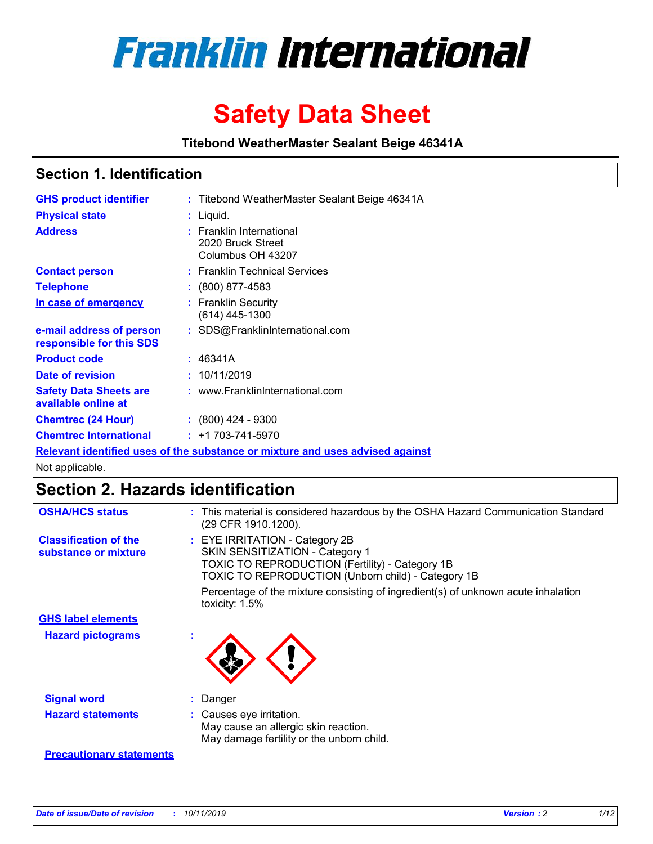

# **Safety Data Sheet**

**Titebond WeatherMaster Sealant Beige 46341A**

### **Section 1. Identification**

| <b>GHS product identifier</b>                        | : Titebond WeatherMaster Sealant Beige 46341A                                 |
|------------------------------------------------------|-------------------------------------------------------------------------------|
| <b>Physical state</b>                                | : Liquid.                                                                     |
| <b>Address</b>                                       | : Franklin International<br>2020 Bruck Street<br>Columbus OH 43207            |
| <b>Contact person</b>                                | : Franklin Technical Services                                                 |
| <b>Telephone</b>                                     | $\div$ (800) 877-4583                                                         |
| In case of emergency                                 | : Franklin Security<br>(614) 445-1300                                         |
| e-mail address of person<br>responsible for this SDS | : SDS@FranklinInternational.com                                               |
| <b>Product code</b>                                  | : 46341A                                                                      |
| Date of revision                                     | : 10/11/2019                                                                  |
| <b>Safety Data Sheets are</b><br>available online at | : www.FranklinInternational.com                                               |
| <b>Chemtrec (24 Hour)</b>                            | $\div$ (800) 424 - 9300                                                       |
| <b>Chemtrec International</b>                        | $: +1703 - 741 - 5970$                                                        |
|                                                      | Relevant identified uses of the substance or mixture and uses advised against |

Not applicable.

## **Section 2. Hazards identification**

| <b>OSHA/HCS status</b>                               | : This material is considered hazardous by the OSHA Hazard Communication Standard<br>(29 CFR 1910.1200).                                                                                 |
|------------------------------------------------------|------------------------------------------------------------------------------------------------------------------------------------------------------------------------------------------|
| <b>Classification of the</b><br>substance or mixture | : EYE IRRITATION - Category 2B<br>SKIN SENSITIZATION - Category 1<br><b>TOXIC TO REPRODUCTION (Fertility) - Category 1B</b><br><b>TOXIC TO REPRODUCTION (Unborn child) - Category 1B</b> |
|                                                      | Percentage of the mixture consisting of ingredient(s) of unknown acute inhalation<br>toxicity: $1.5\%$                                                                                   |
| <b>GHS label elements</b>                            |                                                                                                                                                                                          |
| <b>Hazard pictograms</b>                             |                                                                                                                                                                                          |
| <b>Signal word</b>                                   | : Danger                                                                                                                                                                                 |
| <b>Hazard statements</b>                             | : Causes eye irritation.<br>May cause an allergic skin reaction.<br>May damage fertility or the unborn child.                                                                            |
| <b>Precautionary statements</b>                      |                                                                                                                                                                                          |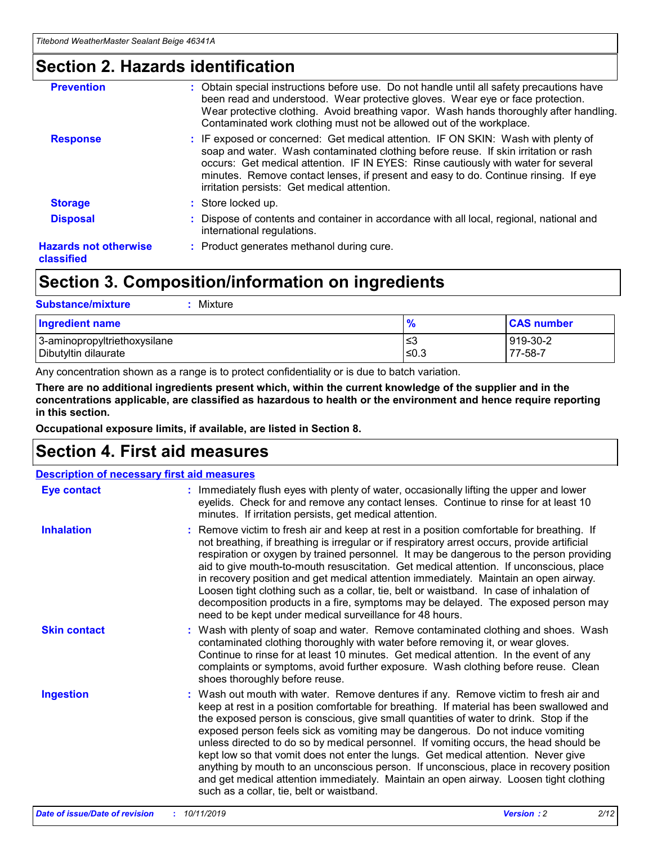### **Section 2. Hazards identification**

| <b>Prevention</b>                          | : Obtain special instructions before use. Do not handle until all safety precautions have<br>been read and understood. Wear protective gloves. Wear eye or face protection.<br>Wear protective clothing. Avoid breathing vapor. Wash hands thoroughly after handling.<br>Contaminated work clothing must not be allowed out of the workplace.                                                        |
|--------------------------------------------|------------------------------------------------------------------------------------------------------------------------------------------------------------------------------------------------------------------------------------------------------------------------------------------------------------------------------------------------------------------------------------------------------|
| <b>Response</b>                            | : IF exposed or concerned: Get medical attention. IF ON SKIN: Wash with plenty of<br>soap and water. Wash contaminated clothing before reuse. If skin irritation or rash<br>occurs: Get medical attention. IF IN EYES: Rinse cautiously with water for several<br>minutes. Remove contact lenses, if present and easy to do. Continue rinsing. If eye<br>irritation persists: Get medical attention. |
| <b>Storage</b>                             | : Store locked up.                                                                                                                                                                                                                                                                                                                                                                                   |
| <b>Disposal</b>                            | : Dispose of contents and container in accordance with all local, regional, national and<br>international regulations.                                                                                                                                                                                                                                                                               |
| <b>Hazards not otherwise</b><br>classified | : Product generates methanol during cure.                                                                                                                                                                                                                                                                                                                                                            |
|                                            |                                                                                                                                                                                                                                                                                                                                                                                                      |

### **Section 3. Composition/information on ingredients**

| <b>Substance/mixture</b><br>Mixture                  |                   |                     |
|------------------------------------------------------|-------------------|---------------------|
| Ingredient name                                      | $\frac{9}{6}$     | <b>CAS number</b>   |
| 3-aminopropyltriethoxysilane<br>Dibutyltin dilaurate | l≤3<br>$\leq 0.3$ | 919-30-2<br>77-58-7 |

Any concentration shown as a range is to protect confidentiality or is due to batch variation.

**There are no additional ingredients present which, within the current knowledge of the supplier and in the concentrations applicable, are classified as hazardous to health or the environment and hence require reporting in this section.**

**Occupational exposure limits, if available, are listed in Section 8.**

### **Section 4. First aid measures**

| <b>Description of necessary first aid measures</b> |                                                                                                                                                                                                                                                                                                                                                                                                                                                                                                                                                                                                                                                                                                                                                                           |  |  |  |
|----------------------------------------------------|---------------------------------------------------------------------------------------------------------------------------------------------------------------------------------------------------------------------------------------------------------------------------------------------------------------------------------------------------------------------------------------------------------------------------------------------------------------------------------------------------------------------------------------------------------------------------------------------------------------------------------------------------------------------------------------------------------------------------------------------------------------------------|--|--|--|
| <b>Eye contact</b>                                 | : Immediately flush eyes with plenty of water, occasionally lifting the upper and lower<br>eyelids. Check for and remove any contact lenses. Continue to rinse for at least 10<br>minutes. If irritation persists, get medical attention.                                                                                                                                                                                                                                                                                                                                                                                                                                                                                                                                 |  |  |  |
| <b>Inhalation</b>                                  | : Remove victim to fresh air and keep at rest in a position comfortable for breathing. If<br>not breathing, if breathing is irregular or if respiratory arrest occurs, provide artificial<br>respiration or oxygen by trained personnel. It may be dangerous to the person providing<br>aid to give mouth-to-mouth resuscitation. Get medical attention. If unconscious, place<br>in recovery position and get medical attention immediately. Maintain an open airway.<br>Loosen tight clothing such as a collar, tie, belt or waistband. In case of inhalation of<br>decomposition products in a fire, symptoms may be delayed. The exposed person may<br>need to be kept under medical surveillance for 48 hours.                                                       |  |  |  |
| <b>Skin contact</b>                                | : Wash with plenty of soap and water. Remove contaminated clothing and shoes. Wash<br>contaminated clothing thoroughly with water before removing it, or wear gloves.<br>Continue to rinse for at least 10 minutes. Get medical attention. In the event of any<br>complaints or symptoms, avoid further exposure. Wash clothing before reuse. Clean<br>shoes thoroughly before reuse.                                                                                                                                                                                                                                                                                                                                                                                     |  |  |  |
| <b>Ingestion</b>                                   | : Wash out mouth with water. Remove dentures if any. Remove victim to fresh air and<br>keep at rest in a position comfortable for breathing. If material has been swallowed and<br>the exposed person is conscious, give small quantities of water to drink. Stop if the<br>exposed person feels sick as vomiting may be dangerous. Do not induce vomiting<br>unless directed to do so by medical personnel. If vomiting occurs, the head should be<br>kept low so that vomit does not enter the lungs. Get medical attention. Never give<br>anything by mouth to an unconscious person. If unconscious, place in recovery position<br>and get medical attention immediately. Maintain an open airway. Loosen tight clothing<br>such as a collar, tie, belt or waistband. |  |  |  |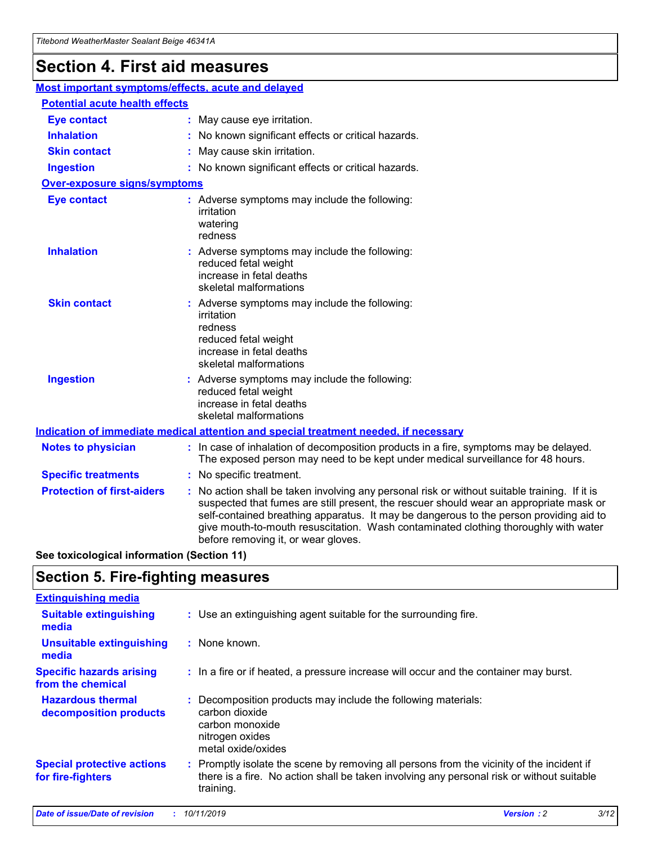## **Section 4. First aid measures**

| Most important symptoms/effects, acute and delayed |  |                                                                                                                                                                                                                                                                                                                                                                                                                 |
|----------------------------------------------------|--|-----------------------------------------------------------------------------------------------------------------------------------------------------------------------------------------------------------------------------------------------------------------------------------------------------------------------------------------------------------------------------------------------------------------|
| <b>Potential acute health effects</b>              |  |                                                                                                                                                                                                                                                                                                                                                                                                                 |
| <b>Eye contact</b>                                 |  | : May cause eye irritation.                                                                                                                                                                                                                                                                                                                                                                                     |
| <b>Inhalation</b>                                  |  | : No known significant effects or critical hazards.                                                                                                                                                                                                                                                                                                                                                             |
| <b>Skin contact</b>                                |  | : May cause skin irritation.                                                                                                                                                                                                                                                                                                                                                                                    |
| <b>Ingestion</b>                                   |  | : No known significant effects or critical hazards.                                                                                                                                                                                                                                                                                                                                                             |
| <b>Over-exposure signs/symptoms</b>                |  |                                                                                                                                                                                                                                                                                                                                                                                                                 |
| <b>Eye contact</b>                                 |  | : Adverse symptoms may include the following:<br>irritation<br>watering<br>redness                                                                                                                                                                                                                                                                                                                              |
| <b>Inhalation</b>                                  |  | : Adverse symptoms may include the following:<br>reduced fetal weight<br>increase in fetal deaths<br>skeletal malformations                                                                                                                                                                                                                                                                                     |
| <b>Skin contact</b>                                |  | : Adverse symptoms may include the following:<br>irritation<br>redness<br>reduced fetal weight<br>increase in fetal deaths<br>skeletal malformations                                                                                                                                                                                                                                                            |
| <b>Ingestion</b>                                   |  | : Adverse symptoms may include the following:<br>reduced fetal weight<br>increase in fetal deaths<br>skeletal malformations                                                                                                                                                                                                                                                                                     |
|                                                    |  | <b>Indication of immediate medical attention and special treatment needed, if necessary</b>                                                                                                                                                                                                                                                                                                                     |
| <b>Notes to physician</b>                          |  | : In case of inhalation of decomposition products in a fire, symptoms may be delayed.<br>The exposed person may need to be kept under medical surveillance for 48 hours.                                                                                                                                                                                                                                        |
| <b>Specific treatments</b>                         |  | : No specific treatment.                                                                                                                                                                                                                                                                                                                                                                                        |
| <b>Protection of first-aiders</b>                  |  | : No action shall be taken involving any personal risk or without suitable training. If it is<br>suspected that fumes are still present, the rescuer should wear an appropriate mask or<br>self-contained breathing apparatus. It may be dangerous to the person providing aid to<br>give mouth-to-mouth resuscitation. Wash contaminated clothing thoroughly with water<br>before removing it, or wear gloves. |

**See toxicological information (Section 11)**

### **Section 5. Fire-fighting measures**

| <b>Extinguishing media</b>                             |                                                                                                                                                                                                     |
|--------------------------------------------------------|-----------------------------------------------------------------------------------------------------------------------------------------------------------------------------------------------------|
| <b>Suitable extinguishing</b><br>media                 | : Use an extinguishing agent suitable for the surrounding fire.                                                                                                                                     |
| <b>Unsuitable extinguishing</b><br>media               | : None known.                                                                                                                                                                                       |
| <b>Specific hazards arising</b><br>from the chemical   | : In a fire or if heated, a pressure increase will occur and the container may burst.                                                                                                               |
| <b>Hazardous thermal</b><br>decomposition products     | : Decomposition products may include the following materials:<br>carbon dioxide<br>carbon monoxide<br>nitrogen oxides<br>metal oxide/oxides                                                         |
| <b>Special protective actions</b><br>for fire-fighters | : Promptly isolate the scene by removing all persons from the vicinity of the incident if<br>there is a fire. No action shall be taken involving any personal risk or without suitable<br>training. |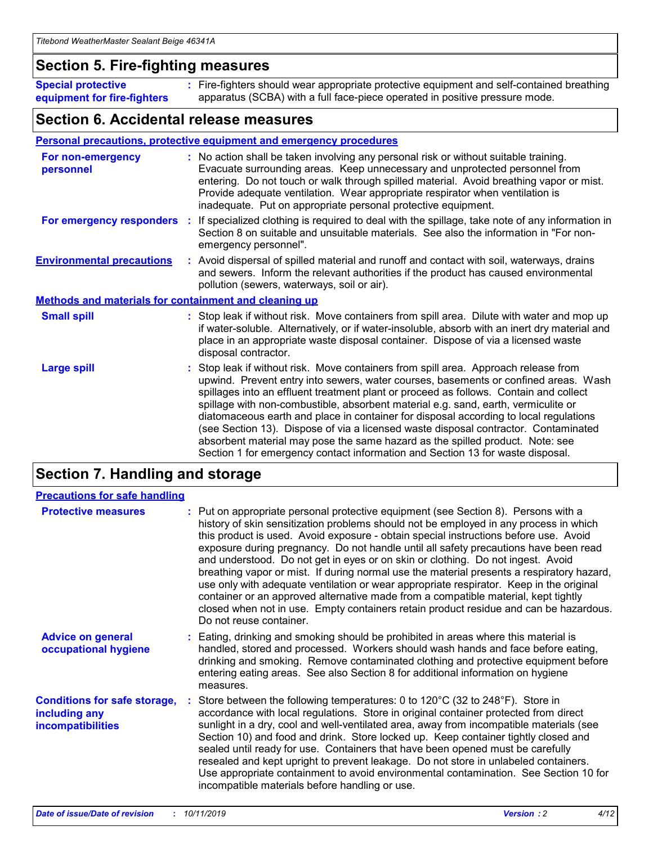### **Section 5. Fire-fighting measures**

**Special protective equipment for fire-fighters** Fire-fighters should wear appropriate protective equipment and self-contained breathing **:** apparatus (SCBA) with a full face-piece operated in positive pressure mode.

### **Section 6. Accidental release measures**

#### **Personal precautions, protective equipment and emergency procedures**

| For non-emergency<br>personnel                               | : No action shall be taken involving any personal risk or without suitable training.<br>Evacuate surrounding areas. Keep unnecessary and unprotected personnel from<br>entering. Do not touch or walk through spilled material. Avoid breathing vapor or mist.<br>Provide adequate ventilation. Wear appropriate respirator when ventilation is<br>inadequate. Put on appropriate personal protective equipment.                                                                                                                                                                                                                                                                                             |
|--------------------------------------------------------------|--------------------------------------------------------------------------------------------------------------------------------------------------------------------------------------------------------------------------------------------------------------------------------------------------------------------------------------------------------------------------------------------------------------------------------------------------------------------------------------------------------------------------------------------------------------------------------------------------------------------------------------------------------------------------------------------------------------|
|                                                              | For emergency responders : If specialized clothing is required to deal with the spillage, take note of any information in<br>Section 8 on suitable and unsuitable materials. See also the information in "For non-<br>emergency personnel".                                                                                                                                                                                                                                                                                                                                                                                                                                                                  |
| <b>Environmental precautions</b>                             | : Avoid dispersal of spilled material and runoff and contact with soil, waterways, drains<br>and sewers. Inform the relevant authorities if the product has caused environmental<br>pollution (sewers, waterways, soil or air).                                                                                                                                                                                                                                                                                                                                                                                                                                                                              |
| <b>Methods and materials for containment and cleaning up</b> |                                                                                                                                                                                                                                                                                                                                                                                                                                                                                                                                                                                                                                                                                                              |
| <b>Small spill</b>                                           | : Stop leak if without risk. Move containers from spill area. Dilute with water and mop up<br>if water-soluble. Alternatively, or if water-insoluble, absorb with an inert dry material and<br>place in an appropriate waste disposal container. Dispose of via a licensed waste<br>disposal contractor.                                                                                                                                                                                                                                                                                                                                                                                                     |
| <b>Large spill</b>                                           | : Stop leak if without risk. Move containers from spill area. Approach release from<br>upwind. Prevent entry into sewers, water courses, basements or confined areas. Wash<br>spillages into an effluent treatment plant or proceed as follows. Contain and collect<br>spillage with non-combustible, absorbent material e.g. sand, earth, vermiculite or<br>diatomaceous earth and place in container for disposal according to local regulations<br>(see Section 13). Dispose of via a licensed waste disposal contractor. Contaminated<br>absorbent material may pose the same hazard as the spilled product. Note: see<br>Section 1 for emergency contact information and Section 13 for waste disposal. |

### **Section 7. Handling and storage**

| <b>Precautions for safe handling</b>                                             |                                                                                                                                                                                                                                                                                                                                                                                                                                                                                                                                                                                                                                                                                                                                                                                                                                                  |
|----------------------------------------------------------------------------------|--------------------------------------------------------------------------------------------------------------------------------------------------------------------------------------------------------------------------------------------------------------------------------------------------------------------------------------------------------------------------------------------------------------------------------------------------------------------------------------------------------------------------------------------------------------------------------------------------------------------------------------------------------------------------------------------------------------------------------------------------------------------------------------------------------------------------------------------------|
| <b>Protective measures</b>                                                       | : Put on appropriate personal protective equipment (see Section 8). Persons with a<br>history of skin sensitization problems should not be employed in any process in which<br>this product is used. Avoid exposure - obtain special instructions before use. Avoid<br>exposure during pregnancy. Do not handle until all safety precautions have been read<br>and understood. Do not get in eyes or on skin or clothing. Do not ingest. Avoid<br>breathing vapor or mist. If during normal use the material presents a respiratory hazard,<br>use only with adequate ventilation or wear appropriate respirator. Keep in the original<br>container or an approved alternative made from a compatible material, kept tightly<br>closed when not in use. Empty containers retain product residue and can be hazardous.<br>Do not reuse container. |
| <b>Advice on general</b><br>occupational hygiene                                 | : Eating, drinking and smoking should be prohibited in areas where this material is<br>handled, stored and processed. Workers should wash hands and face before eating,<br>drinking and smoking. Remove contaminated clothing and protective equipment before<br>entering eating areas. See also Section 8 for additional information on hygiene<br>measures.                                                                                                                                                                                                                                                                                                                                                                                                                                                                                    |
| <b>Conditions for safe storage,</b><br>including any<br><b>incompatibilities</b> | : Store between the following temperatures: 0 to 120 $\degree$ C (32 to 248 $\degree$ F). Store in<br>accordance with local regulations. Store in original container protected from direct<br>sunlight in a dry, cool and well-ventilated area, away from incompatible materials (see<br>Section 10) and food and drink. Store locked up. Keep container tightly closed and<br>sealed until ready for use. Containers that have been opened must be carefully<br>resealed and kept upright to prevent leakage. Do not store in unlabeled containers.<br>Use appropriate containment to avoid environmental contamination. See Section 10 for<br>incompatible materials before handling or use.                                                                                                                                                   |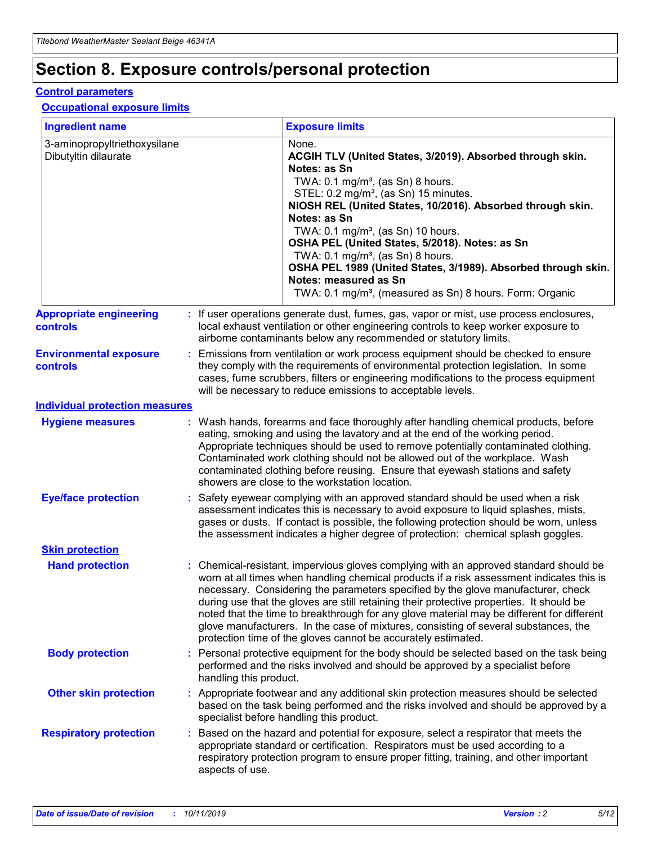## **Section 8. Exposure controls/personal protection**

#### **Control parameters**

#### **Occupational exposure limits**

| <b>Ingredient name</b>                               |    |                        | <b>Exposure limits</b>                                                                                                                                                                                                                                                                                                                                                                                                                                                                                                                                                                                                 |
|------------------------------------------------------|----|------------------------|------------------------------------------------------------------------------------------------------------------------------------------------------------------------------------------------------------------------------------------------------------------------------------------------------------------------------------------------------------------------------------------------------------------------------------------------------------------------------------------------------------------------------------------------------------------------------------------------------------------------|
| 3-aminopropyltriethoxysilane<br>Dibutyltin dilaurate |    |                        | None.<br>ACGIH TLV (United States, 3/2019). Absorbed through skin.<br>Notes: as Sn<br>TWA: $0.1 \text{ mg/m}^3$ , (as Sn) 8 hours.<br>STEL: 0.2 mg/m <sup>3</sup> , (as Sn) 15 minutes.<br>NIOSH REL (United States, 10/2016). Absorbed through skin.<br>Notes: as Sn<br>TWA: 0.1 mg/m <sup>3</sup> , (as Sn) 10 hours.<br>OSHA PEL (United States, 5/2018). Notes: as Sn<br>TWA: 0.1 mg/m <sup>3</sup> , (as Sn) 8 hours.<br>OSHA PEL 1989 (United States, 3/1989). Absorbed through skin.<br>Notes: measured as Sn<br>TWA: 0.1 mg/m <sup>3</sup> , (measured as Sn) 8 hours. Form: Organic                           |
| <b>Appropriate engineering</b><br>controls           |    |                        | : If user operations generate dust, fumes, gas, vapor or mist, use process enclosures,<br>local exhaust ventilation or other engineering controls to keep worker exposure to<br>airborne contaminants below any recommended or statutory limits.                                                                                                                                                                                                                                                                                                                                                                       |
| <b>Environmental exposure</b><br>controls            |    |                        | Emissions from ventilation or work process equipment should be checked to ensure<br>they comply with the requirements of environmental protection legislation. In some<br>cases, fume scrubbers, filters or engineering modifications to the process equipment<br>will be necessary to reduce emissions to acceptable levels.                                                                                                                                                                                                                                                                                          |
| <b>Individual protection measures</b>                |    |                        |                                                                                                                                                                                                                                                                                                                                                                                                                                                                                                                                                                                                                        |
| <b>Hygiene measures</b>                              |    |                        | : Wash hands, forearms and face thoroughly after handling chemical products, before<br>eating, smoking and using the lavatory and at the end of the working period.<br>Appropriate techniques should be used to remove potentially contaminated clothing.<br>Contaminated work clothing should not be allowed out of the workplace. Wash<br>contaminated clothing before reusing. Ensure that eyewash stations and safety<br>showers are close to the workstation location.                                                                                                                                            |
| <b>Eye/face protection</b>                           |    |                        | Safety eyewear complying with an approved standard should be used when a risk<br>assessment indicates this is necessary to avoid exposure to liquid splashes, mists,<br>gases or dusts. If contact is possible, the following protection should be worn, unless<br>the assessment indicates a higher degree of protection: chemical splash goggles.                                                                                                                                                                                                                                                                    |
| <b>Skin protection</b>                               |    |                        |                                                                                                                                                                                                                                                                                                                                                                                                                                                                                                                                                                                                                        |
| <b>Hand protection</b>                               |    |                        | : Chemical-resistant, impervious gloves complying with an approved standard should be<br>worn at all times when handling chemical products if a risk assessment indicates this is<br>necessary. Considering the parameters specified by the glove manufacturer, check<br>during use that the gloves are still retaining their protective properties. It should be<br>noted that the time to breakthrough for any glove material may be different for different<br>glove manufacturers. In the case of mixtures, consisting of several substances, the<br>protection time of the gloves cannot be accurately estimated. |
| <b>Body protection</b>                               |    | handling this product. | Personal protective equipment for the body should be selected based on the task being<br>performed and the risks involved and should be approved by a specialist before                                                                                                                                                                                                                                                                                                                                                                                                                                                |
| <b>Other skin protection</b>                         |    |                        | : Appropriate footwear and any additional skin protection measures should be selected<br>based on the task being performed and the risks involved and should be approved by a<br>specialist before handling this product.                                                                                                                                                                                                                                                                                                                                                                                              |
| <b>Respiratory protection</b>                        | ÷. | aspects of use.        | Based on the hazard and potential for exposure, select a respirator that meets the<br>appropriate standard or certification. Respirators must be used according to a<br>respiratory protection program to ensure proper fitting, training, and other important                                                                                                                                                                                                                                                                                                                                                         |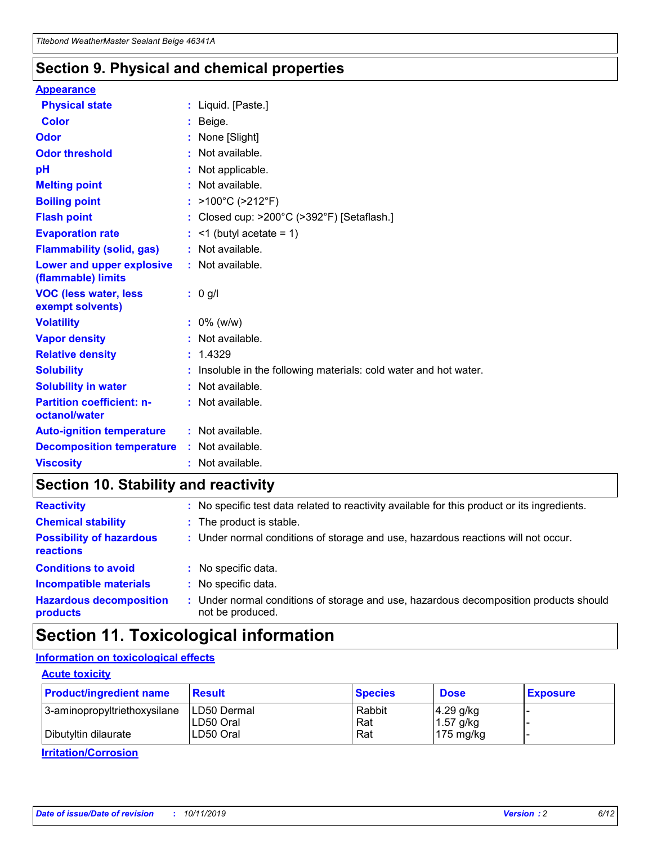### **Section 9. Physical and chemical properties**

#### **Appearance**

| <b>Physical state</b>                             | : Liquid. [Paste.]                                              |
|---------------------------------------------------|-----------------------------------------------------------------|
| <b>Color</b>                                      | Beige.                                                          |
| Odor                                              | None [Slight]                                                   |
| <b>Odor threshold</b>                             | $:$ Not available.                                              |
| рH                                                | : Not applicable.                                               |
| <b>Melting point</b>                              | : Not available.                                                |
| <b>Boiling point</b>                              | : $>100^{\circ}$ C ( $>212^{\circ}$ F)                          |
| <b>Flash point</b>                                | : Closed cup: >200°C (>392°F) [Setaflash.]                      |
| <b>Evaporation rate</b>                           | $:$ <1 (butyl acetate = 1)                                      |
| <b>Flammability (solid, gas)</b>                  | : Not available.                                                |
| Lower and upper explosive<br>(flammable) limits   | $:$ Not available.                                              |
| <b>VOC (less water, less</b><br>exempt solvents)  | : 0 g/l                                                         |
| <b>Volatility</b>                                 | $: 0\%$ (w/w)                                                   |
| <b>Vapor density</b>                              | : Not available.                                                |
| <b>Relative density</b>                           | : 1.4329                                                        |
| <b>Solubility</b>                                 | Insoluble in the following materials: cold water and hot water. |
| <b>Solubility in water</b>                        |                                                                 |
|                                                   | $:$ Not available.                                              |
| <b>Partition coefficient: n-</b><br>octanol/water | $:$ Not available.                                              |
| <b>Auto-ignition temperature</b>                  | : Not available.                                                |
| <b>Decomposition temperature</b>                  | : Not available.                                                |

### **Section 10. Stability and reactivity**

| <b>Reactivity</b>                            |    | : No specific test data related to reactivity available for this product or its ingredients.            |
|----------------------------------------------|----|---------------------------------------------------------------------------------------------------------|
| <b>Chemical stability</b>                    |    | : The product is stable.                                                                                |
| <b>Possibility of hazardous</b><br>reactions |    | : Under normal conditions of storage and use, hazardous reactions will not occur.                       |
| <b>Conditions to avoid</b>                   |    | : No specific data.                                                                                     |
| <b>Incompatible materials</b>                | ٠. | No specific data.                                                                                       |
| <b>Hazardous decomposition</b><br>products   | ÷. | Under normal conditions of storage and use, hazardous decomposition products should<br>not be produced. |

### **Section 11. Toxicological information**

### **Information on toxicological effects**

#### **Acute toxicity**

| <b>Product/ingredient name</b> | <b>Result</b>           | <b>Species</b> | <b>Dose</b>                | <b>Exposure</b> |
|--------------------------------|-------------------------|----------------|----------------------------|-----------------|
| 3-aminopropyltriethoxysilane   | <b>ILD50 Dermal</b>     | Rabbit         | 4.29 g/kg                  |                 |
| Dibutyltin dilaurate           | ILD50 Oral<br>LD50 Oral | Rat<br>Rat     | $1.57$ g/kg<br>175 $mg/kg$ |                 |
|                                |                         |                |                            |                 |

**Irritation/Corrosion**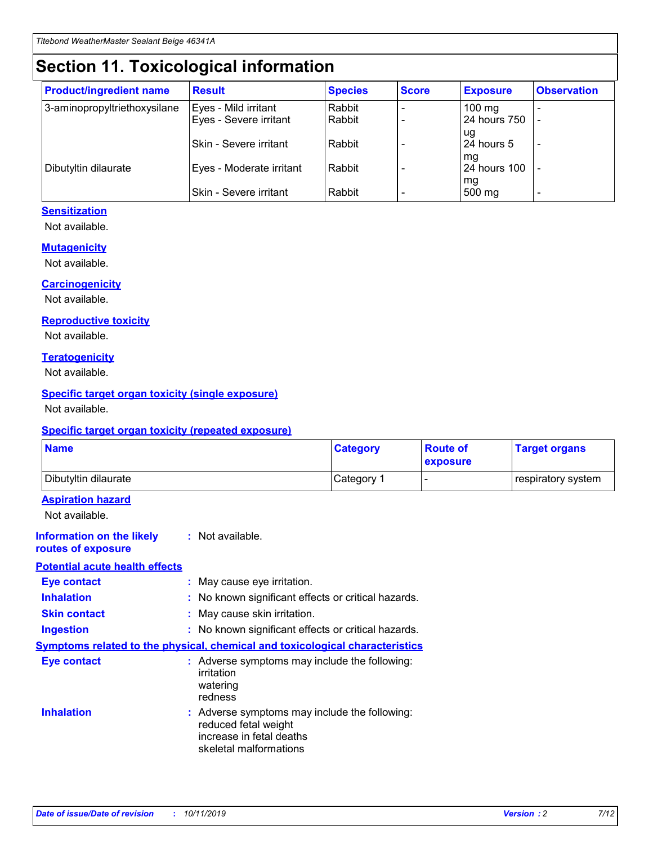## **Section 11. Toxicological information**

| <b>Product/ingredient name</b> | <b>Result</b>            | <b>Species</b> | <b>Score</b> | <b>Exposure</b>           | <b>Observation</b> |
|--------------------------------|--------------------------|----------------|--------------|---------------------------|--------------------|
| 3-aminopropyltriethoxysilane   | Eyes - Mild irritant     | Rabbit         |              | $100$ mg                  |                    |
|                                | Eyes - Severe irritant   | Rabbit         |              | 24 hours 750              |                    |
|                                |                          |                |              | ug                        |                    |
|                                | Skin - Severe irritant   | Rabbit         |              | 24 hours 5                | -                  |
| Dibutyltin dilaurate           | Eyes - Moderate irritant | Rabbit         |              | mg<br><b>24 hours 100</b> |                    |
|                                |                          |                |              | mg                        |                    |
|                                | Skin - Severe irritant   | Rabbit         |              | 500 mg                    | -                  |

### **Sensitization**

Not available.

#### **Mutagenicity**

Not available.

#### **Carcinogenicity**

Not available.

#### **Reproductive toxicity**

Not available.

#### **Teratogenicity**

Not available.

#### **Specific target organ toxicity (single exposure)**

Not available.

#### **Specific target organ toxicity (repeated exposure)**

| <b>Name</b>                                                                  |                                                                            | <b>Category</b>                                     | <b>Route of</b><br>exposure | <b>Target organs</b> |
|------------------------------------------------------------------------------|----------------------------------------------------------------------------|-----------------------------------------------------|-----------------------------|----------------------|
| Dibutyltin dilaurate                                                         |                                                                            | Category 1                                          | -                           | respiratory system   |
| <b>Aspiration hazard</b><br>Not available.                                   |                                                                            |                                                     |                             |                      |
| <b>Information on the likely</b><br>routes of exposure                       | : Not available.                                                           |                                                     |                             |                      |
| <b>Potential acute health effects</b>                                        |                                                                            |                                                     |                             |                      |
| <b>Eye contact</b>                                                           | : May cause eye irritation.                                                |                                                     |                             |                      |
| <b>Inhalation</b>                                                            |                                                                            | : No known significant effects or critical hazards. |                             |                      |
| <b>Skin contact</b>                                                          | : May cause skin irritation.                                               |                                                     |                             |                      |
| <b>Ingestion</b>                                                             |                                                                            | : No known significant effects or critical hazards. |                             |                      |
| Symptoms related to the physical, chemical and toxicological characteristics |                                                                            |                                                     |                             |                      |
| <b>Eye contact</b>                                                           | irritation<br>watering<br>redness                                          | : Adverse symptoms may include the following:       |                             |                      |
| <b>Inhalation</b>                                                            | reduced fetal weight<br>increase in fetal deaths<br>skeletal malformations | : Adverse symptoms may include the following:       |                             |                      |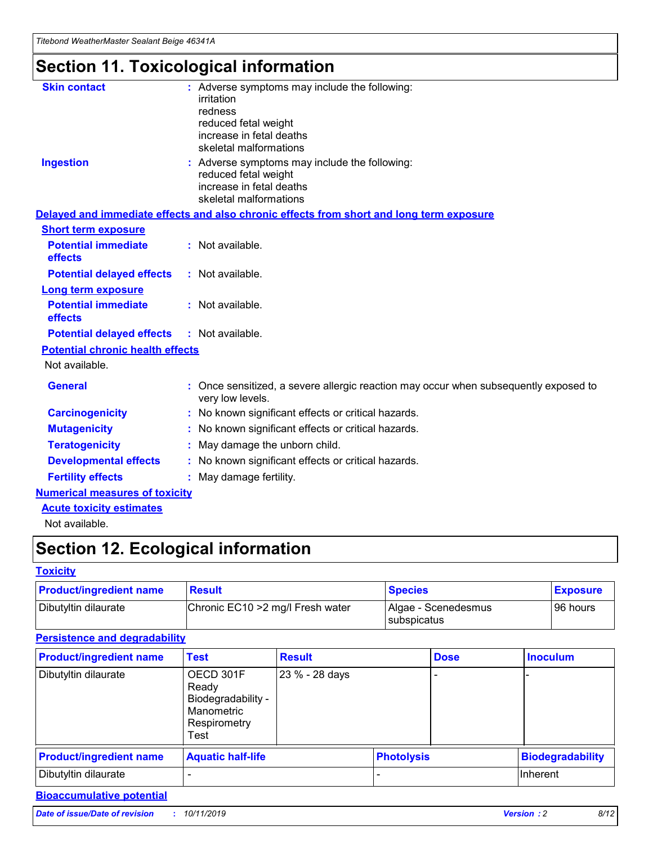## **Section 11. Toxicological information**

| <b>Skin contact</b>                     | : Adverse symptoms may include the following:                                                            |
|-----------------------------------------|----------------------------------------------------------------------------------------------------------|
|                                         | irritation                                                                                               |
|                                         | redness                                                                                                  |
|                                         | reduced fetal weight                                                                                     |
|                                         | increase in fetal deaths                                                                                 |
|                                         | skeletal malformations                                                                                   |
| <b>Ingestion</b>                        | : Adverse symptoms may include the following:                                                            |
|                                         | reduced fetal weight                                                                                     |
|                                         | increase in fetal deaths                                                                                 |
|                                         | skeletal malformations                                                                                   |
|                                         | Delayed and immediate effects and also chronic effects from short and long term exposure                 |
| <b>Short term exposure</b>              |                                                                                                          |
| <b>Potential immediate</b>              | : Not available.                                                                                         |
| effects                                 |                                                                                                          |
| <b>Potential delayed effects</b>        | : Not available.                                                                                         |
| Long term exposure                      |                                                                                                          |
| <b>Potential immediate</b>              | : Not available.                                                                                         |
| effects                                 |                                                                                                          |
| <b>Potential delayed effects</b>        | : Not available.                                                                                         |
| <b>Potential chronic health effects</b> |                                                                                                          |
| Not available.                          |                                                                                                          |
| <b>General</b>                          | : Once sensitized, a severe allergic reaction may occur when subsequently exposed to<br>very low levels. |
| <b>Carcinogenicity</b>                  | : No known significant effects or critical hazards.                                                      |
| <b>Mutagenicity</b>                     | No known significant effects or critical hazards.                                                        |
| <b>Teratogenicity</b>                   | May damage the unborn child.                                                                             |
| <b>Developmental effects</b>            | No known significant effects or critical hazards.                                                        |
| <b>Fertility effects</b>                | : May damage fertility.                                                                                  |
| <b>Numerical measures of toxicity</b>   |                                                                                                          |
| <b>Acute toxicity estimates</b>         |                                                                                                          |
|                                         |                                                                                                          |

Not available.

## **Section 12. Ecological information**

#### **Toxicity**

| <b>Product/ingredient name</b> | <b>Result</b>                     | <b>Species</b>                       | <b>Exposure</b> |
|--------------------------------|-----------------------------------|--------------------------------------|-----------------|
| Dibutyltin dilaurate           | Chronic EC10 > 2 mg/l Fresh water | Algae - Scenedesmus<br>I subspicatus | l 96 hours i    |

### **Persistence and degradability**

| <b>Product/ingredient name</b> | <b>Test</b>                                                                    | <b>Result</b>  |                   | <b>Dose</b> | <b>Inoculum</b>         |
|--------------------------------|--------------------------------------------------------------------------------|----------------|-------------------|-------------|-------------------------|
| Dibutyltin dilaurate           | OECD 301F<br>Ready<br>Biodegradability -<br>Manometric<br>Respirometry<br>Test | 23 % - 28 days |                   |             |                         |
| <b>Product/ingredient name</b> | <b>Aquatic half-life</b>                                                       |                | <b>Photolysis</b> |             | <b>Biodegradability</b> |
| Dibutyltin dilaurate           |                                                                                |                |                   |             | Inherent                |

### **Bioaccumulative potential**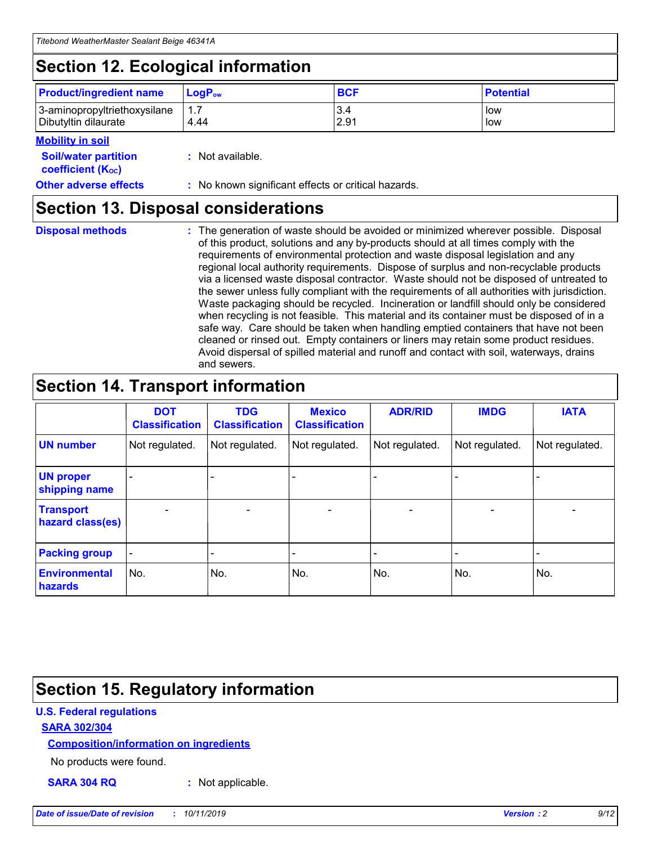## **Section 12. Ecological information**

| <b>Product/ingredient name</b> | $LoaPow$ | <b>BCF</b> | <b>Potential</b> |
|--------------------------------|----------|------------|------------------|
| 3-aminopropyltriethoxysilane   | 1.7      | 3.4        | low              |
| Dibutyltin dilaurate           | 4.44     | 2.91       | low              |

#### **Mobility in soil**

| <i></i>                                                       |                                                     |
|---------------------------------------------------------------|-----------------------------------------------------|
| <b>Soil/water partition</b><br>coefficient (K <sub>oc</sub> ) | : Not available.                                    |
| <b>Other adverse effects</b>                                  | : No known significant effects or critical hazards. |

### **Section 13. Disposal considerations**

**Disposal methods :**

The generation of waste should be avoided or minimized wherever possible. Disposal of this product, solutions and any by-products should at all times comply with the requirements of environmental protection and waste disposal legislation and any regional local authority requirements. Dispose of surplus and non-recyclable products via a licensed waste disposal contractor. Waste should not be disposed of untreated to the sewer unless fully compliant with the requirements of all authorities with jurisdiction. Waste packaging should be recycled. Incineration or landfill should only be considered when recycling is not feasible. This material and its container must be disposed of in a safe way. Care should be taken when handling emptied containers that have not been cleaned or rinsed out. Empty containers or liners may retain some product residues. Avoid dispersal of spilled material and runoff and contact with soil, waterways, drains and sewers.

## **Section 14. Transport information**

|                                      | <b>DOT</b><br><b>Classification</b> | <b>TDG</b><br><b>Classification</b> | <b>Mexico</b><br><b>Classification</b> | <b>ADR/RID</b>               | <b>IMDG</b>    | <b>IATA</b>    |
|--------------------------------------|-------------------------------------|-------------------------------------|----------------------------------------|------------------------------|----------------|----------------|
| <b>UN number</b>                     | Not regulated.                      | Not regulated.                      | Not regulated.                         | Not regulated.               | Not regulated. | Not regulated. |
| <b>UN proper</b><br>shipping name    |                                     |                                     |                                        |                              |                |                |
| <b>Transport</b><br>hazard class(es) | $\blacksquare$                      | $\overline{\phantom{0}}$            | $\overline{\phantom{a}}$               | $\qquad \qquad \blacksquare$ | $\blacksquare$ | $\blacksquare$ |
| <b>Packing group</b>                 | $\overline{\phantom{a}}$            | -                                   |                                        | -                            |                | -              |
| <b>Environmental</b><br>hazards      | No.                                 | No.                                 | No.                                    | No.                          | No.            | No.            |

## **Section 15. Regulatory information**

#### **U.S. Federal regulations**

#### **SARA 302/304**

#### **Composition/information on ingredients**

No products were found.

**SARA 304 RQ :** Not applicable.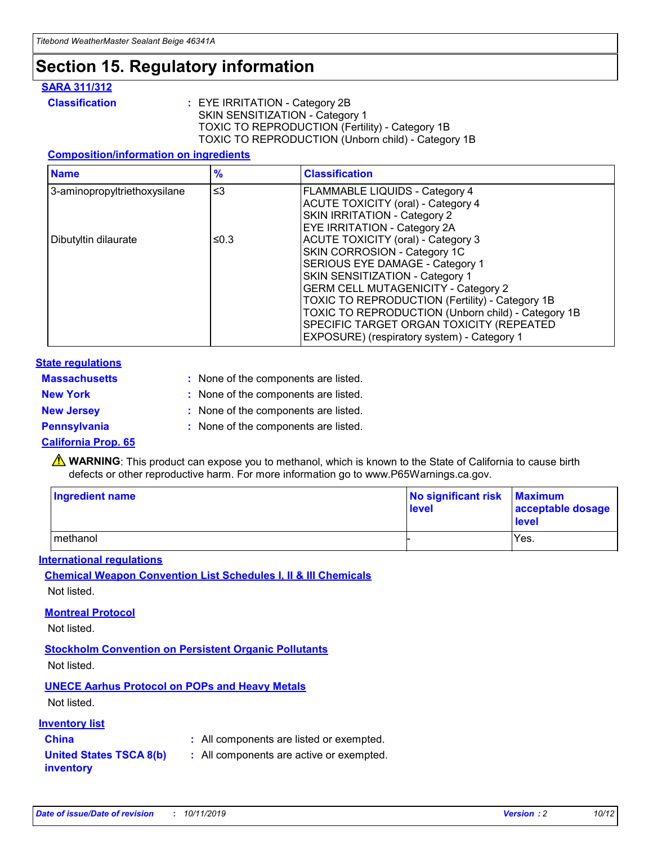## **Section 15. Regulatory information**

#### **SARA 311/312**

**Classification :** EYE IRRITATION - Category 2B SKIN SENSITIZATION - Category 1 TOXIC TO REPRODUCTION (Fertility) - Category 1B TOXIC TO REPRODUCTION (Unborn child) - Category 1B

#### **Composition/information on ingredients**

| <b>Name</b>                  | $\frac{9}{6}$ | <b>Classification</b>                                                                                            |
|------------------------------|---------------|------------------------------------------------------------------------------------------------------------------|
| 3-aminopropyltriethoxysilane | $\leq$ 3      | <b>FLAMMABLE LIQUIDS - Category 4</b><br><b>ACUTE TOXICITY (oral) - Category 4</b>                               |
|                              |               | SKIN IRRITATION - Category 2<br>EYE IRRITATION - Category 2A                                                     |
| Dibutyltin dilaurate         | ≤0.3          | ACUTE TOXICITY (oral) - Category 3<br>SKIN CORROSION - Category 1C                                               |
|                              |               | SERIOUS EYE DAMAGE - Category 1<br>SKIN SENSITIZATION - Category 1<br><b>GERM CELL MUTAGENICITY - Category 2</b> |
|                              |               | TOXIC TO REPRODUCTION (Fertility) - Category 1B<br>TOXIC TO REPRODUCTION (Unborn child) - Category 1B            |
|                              |               | SPECIFIC TARGET ORGAN TOXICITY (REPEATED<br>EXPOSURE) (respiratory system) - Category 1                          |

#### **State regulations**

| <b>Massachusetts</b> | : None of the components are listed. |
|----------------------|--------------------------------------|
| <b>New York</b>      | : None of the components are listed. |
| <b>New Jersey</b>    | : None of the components are listed. |
| <b>Pennsylvania</b>  | : None of the components are listed. |

#### **California Prop. 65**

**A** WARNING: This product can expose you to methanol, which is known to the State of California to cause birth defects or other reproductive harm. For more information go to www.P65Warnings.ca.gov.

| <b>Ingredient name</b> | No significant risk Maximum<br>level | acceptable dosage<br>level |
|------------------------|--------------------------------------|----------------------------|
| methanol               |                                      | Yes.                       |

#### **International regulations**

**Chemical Weapon Convention List Schedules I, II & III Chemicals** Not listed.

#### **Montreal Protocol**

Not listed.

#### **Stockholm Convention on Persistent Organic Pollutants**

Not listed.

### **UNECE Aarhus Protocol on POPs and Heavy Metals**

Not listed.

#### **Inventory list**

### **China :** All components are listed or exempted.

#### **United States TSCA 8(b) inventory :** All components are active or exempted.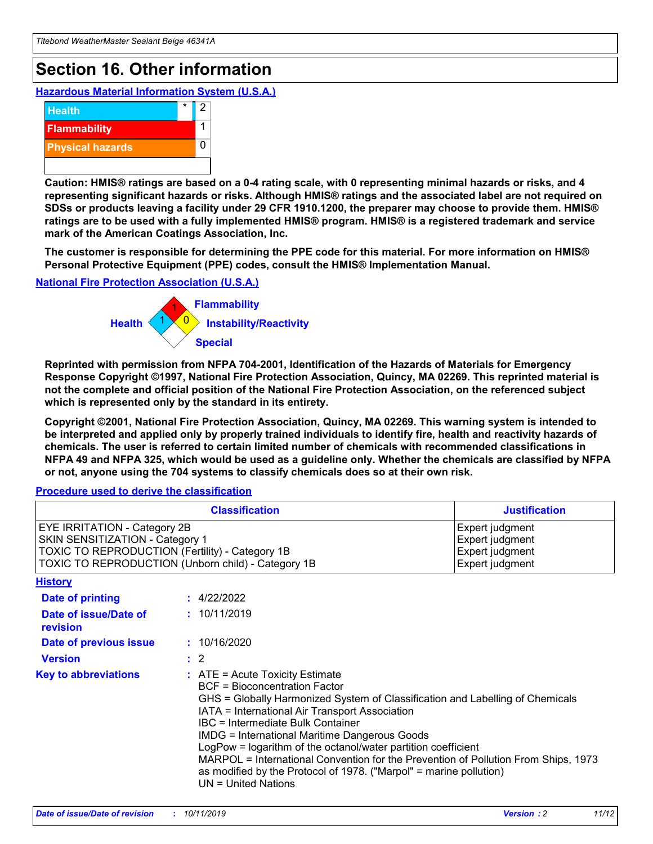## **Section 16. Other information**

**Hazardous Material Information System (U.S.A.)**



**Caution: HMIS® ratings are based on a 0-4 rating scale, with 0 representing minimal hazards or risks, and 4 representing significant hazards or risks. Although HMIS® ratings and the associated label are not required on SDSs or products leaving a facility under 29 CFR 1910.1200, the preparer may choose to provide them. HMIS® ratings are to be used with a fully implemented HMIS® program. HMIS® is a registered trademark and service mark of the American Coatings Association, Inc.**

**The customer is responsible for determining the PPE code for this material. For more information on HMIS® Personal Protective Equipment (PPE) codes, consult the HMIS® Implementation Manual.**

#### **National Fire Protection Association (U.S.A.)**



**Reprinted with permission from NFPA 704-2001, Identification of the Hazards of Materials for Emergency Response Copyright ©1997, National Fire Protection Association, Quincy, MA 02269. This reprinted material is not the complete and official position of the National Fire Protection Association, on the referenced subject which is represented only by the standard in its entirety.**

**Copyright ©2001, National Fire Protection Association, Quincy, MA 02269. This warning system is intended to be interpreted and applied only by properly trained individuals to identify fire, health and reactivity hazards of chemicals. The user is referred to certain limited number of chemicals with recommended classifications in NFPA 49 and NFPA 325, which would be used as a guideline only. Whether the chemicals are classified by NFPA or not, anyone using the 704 systems to classify chemicals does so at their own risk.**

**Procedure used to derive the classification**

| <b>Classification</b>                                                                                                                                                    |                                                                                                                                                  | <b>Justification</b>                                                                                                                                                                                                                                                                                                                                                                                                 |  |
|--------------------------------------------------------------------------------------------------------------------------------------------------------------------------|--------------------------------------------------------------------------------------------------------------------------------------------------|----------------------------------------------------------------------------------------------------------------------------------------------------------------------------------------------------------------------------------------------------------------------------------------------------------------------------------------------------------------------------------------------------------------------|--|
| EYE IRRITATION - Category 2B<br>SKIN SENSITIZATION - Category 1<br>TOXIC TO REPRODUCTION (Fertility) - Category 1B<br>TOXIC TO REPRODUCTION (Unborn child) - Category 1B |                                                                                                                                                  | Expert judgment<br>Expert judgment<br>Expert judgment<br>Expert judgment                                                                                                                                                                                                                                                                                                                                             |  |
| <b>History</b>                                                                                                                                                           |                                                                                                                                                  |                                                                                                                                                                                                                                                                                                                                                                                                                      |  |
| Date of printing                                                                                                                                                         | : 4/22/2022                                                                                                                                      |                                                                                                                                                                                                                                                                                                                                                                                                                      |  |
| Date of issue/Date of<br>revision                                                                                                                                        | : 10/11/2019                                                                                                                                     |                                                                                                                                                                                                                                                                                                                                                                                                                      |  |
| Date of previous issue                                                                                                                                                   | : 10/16/2020                                                                                                                                     |                                                                                                                                                                                                                                                                                                                                                                                                                      |  |
| <b>Version</b>                                                                                                                                                           | $\therefore$ 2                                                                                                                                   |                                                                                                                                                                                                                                                                                                                                                                                                                      |  |
| <b>Key to abbreviations</b>                                                                                                                                              | $\therefore$ ATE = Acute Toxicity Estimate<br><b>BCF</b> = Bioconcentration Factor<br>IBC = Intermediate Bulk Container<br>$UN = United Nations$ | GHS = Globally Harmonized System of Classification and Labelling of Chemicals<br>IATA = International Air Transport Association<br><b>IMDG = International Maritime Dangerous Goods</b><br>LogPow = logarithm of the octanol/water partition coefficient<br>MARPOL = International Convention for the Prevention of Pollution From Ships, 1973<br>as modified by the Protocol of 1978. ("Marpol" = marine pollution) |  |